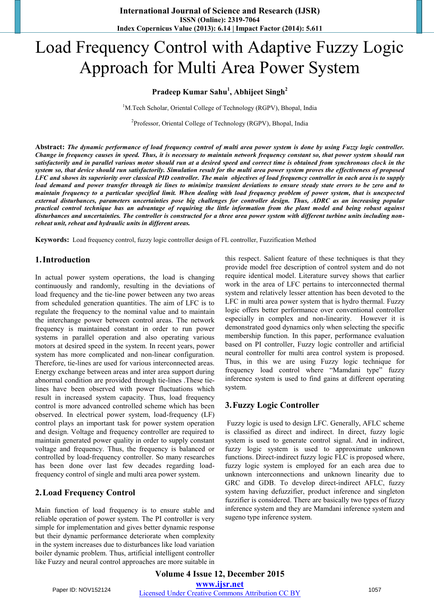# Load Frequency Control with Adaptive Fuzzy Logic Approach for Multi Area Power System

## **Pradeep Kumar Sahu<sup>1</sup> , Abhijeet Singh<sup>2</sup>**

<sup>1</sup>M.Tech Scholar, Oriental College of Technology (RGPV), Bhopal, India

<sup>2</sup>Professor, Oriental College of Technology (RGPV), Bhopal, India

**Abstract:** *The dynamic performance of load frequency control of multi area power system is done by using Fuzzy logic controller. Change in frequency causes in speed. Thus, it is necessary to maintain network frequency constant so, that power system should run satisfactorily and in parallel various motor should run at a desired speed and correct time is obtained from synchronous clock in the system so, that device should run satisfactorily. Simulation result for the multi area power system proves the effectiveness of proposed LFC and shows its superiority over classical PID controller. The main objectives of load frequency controller in each area is to supply load demand and power transfer through tie lines to minimize transient deviations to ensure steady state errors to be zero and to maintain frequency to a particular specified limit. When dealing with load frequency problem of power system, that is unexpected external disturbances, parameters uncertainties pose big challenges for controller design. Thus, ADRC as an increasing popular practical control technique has an advantage of requiring the little information from the plant model and being robust against disturbances and uncertainties. The controller is constructed for a three area power system with different turbine units including nonreheat unit, reheat and hydraulic units in different areas.*

**Keywords:** Load frequency control, fuzzy logic controller design of FL controller, Fuzzification Method

#### **1.Introduction**

In actual power system operations, the load is changing continuously and randomly, resulting in the deviations of load frequency and the tie-line power between any two areas from scheduled generation quantities. The aim of LFC is to regulate the frequency to the nominal value and to maintain the interchange power between control areas. The network frequency is maintained constant in order to run power systems in parallel operation and also operating various motors at desired speed in the system. In recent years, power system has more complicated and non-linear configuration. Therefore, tie-lines are used for various interconnected areas. Energy exchange between areas and inter area support during abnormal condition are provided through tie-lines .These tielines have been observed with power fluctuations which result in increased system capacity. Thus, load frequency control is more advanced controlled scheme which has been observed. In electrical power system, load-frequency (LF) control plays an important task for power system operation and design. Voltage and frequency controller are required to maintain generated power quality in order to supply constant voltage and frequency. Thus, the frequency is balanced or controlled by load-frequency controller. So many researches has been done over last few decades regarding loadfrequency control of single and multi area power system.

## **2.Load Frequency Control**

Main function of load frequency is to ensure stable and reliable operation of power system. The PI controller is very simple for implementation and gives better dynamic response but their dynamic performance deteriorate when complexity in the system increases due to disturbances like load variation boiler dynamic problem. Thus, artificial intelligent controller like Fuzzy and neural control approaches are more suitable in

this respect. Salient feature of these techniques is that they provide model free description of control system and do not require identical model. Literature survey shows that earlier work in the area of LFC pertains to interconnected thermal system and relatively lesser attention has been devoted to the LFC in multi area power system that is hydro thermal. Fuzzy logic offers better performance over conventional controller especially in complex and non-linearity. However it is demonstrated good dynamics only when selecting the specific membership function. In this paper, performance evaluation based on PI controller, Fuzzy logic controller and artificial neural controller for multi area control system is proposed. Thus, in this we are using Fuzzy logic technique for frequency load control where "Mamdani type" fuzzy inference system is used to find gains at different operating system.

#### **3.Fuzzy Logic Controller**

 Fuzzy logic is used to design LFC. Generally, AFLC scheme is classified as direct and indirect. In direct, fuzzy logic system is used to generate control signal. And in indirect, fuzzy logic system is used to approximate unknown functions. Direct-indirect fuzzy logic FLC is proposed where, fuzzy logic system is employed for an each area due to unknown interconnections and unknown linearity due to GRC and GDB. To develop direct-indirect AFLC, fuzzy system having defuzzifier, product inference and singleton fuzzifier is considered. There are basically two types of fuzzy inference system and they are Mamdani inference system and sugeno type inference system.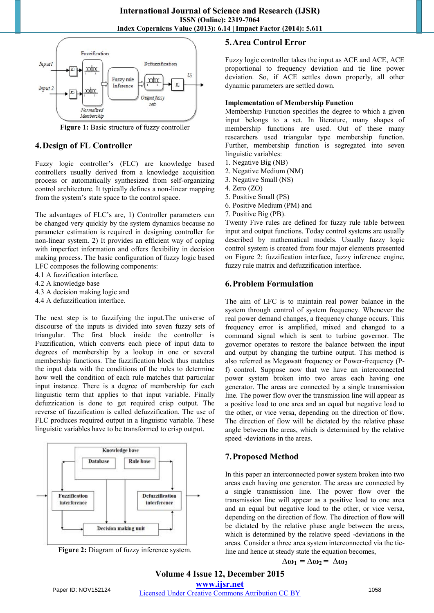

**Figure 1:** Basic structure of fuzzy controller

#### **4.Design of FL Controller**

Fuzzy logic controller's (FLC) are knowledge based controllers usually derived from a knowledge acquisition process or automatically synthesized from self-organizing control architecture. It typically defines a non-linear mapping from the system's state space to the control space.

The advantages of FLC's are, 1) Controller parameters can be changed very quickly by the system dynamics because no parameter estimation is required in designing controller for non-linear system. 2) It provides an efficient way of coping with imperfect information and offers flexibility in decision making process. The basic configuration of fuzzy logic based LFC composes the following components:

- 4.1 A fuzzification interface.
- 4.2 A knowledge base
- 4.3 A decision making logic and
- 4.4 A defuzzification interface.

The next step is to fuzzifying the input.The universe of discourse of the inputs is divided into seven fuzzy sets of triangular. The first block inside the controller is Fuzzification, which converts each piece of input data to degrees of membership by a lookup in one or several membership functions. The fuzzification block thus matches the input data with the conditions of the rules to determine how well the condition of each rule matches that particular input instance. There is a degree of membership for each linguistic term that applies to that input variable. Finally defuzzication is done to get required crisp output. The reverse of fuzzification is called defuzzification. The use of FLC produces required output in a linguistic variable. These linguistic variables have to be transformed to crisp output.



**Figure 2:** Diagram of fuzzy inference system.

## **5.Area Control Error**

Fuzzy logic controller takes the input as ACE and ACE, ACE proportional to frequency deviation and tie line power deviation. So, if ACE settles down properly, all other dynamic parameters are settled down.

#### **Implementation of Membership Function**

Membership Function specifies the degree to which a given input belongs to a set. In literature, many shapes of membership functions are used. Out of these many researchers used triangular type membership function. Further, membership function is segregated into seven linguistic variables:

- 1. Negative Big (NB)
- 2. Negative Medium (NM)
- 3. Negative Small (NS)
- 4. Zero (ZO)
- 5. Positive Small (PS)
- 6. Positive Medium (PM) and
- 7. Positive Big (PB).

Twenty Five rules are defined for fuzzy rule table between input and output functions. Today control systems are usually described by mathematical models. Usually fuzzy logic control system is created from four major elements presented on Figure 2: fuzzification interface, fuzzy inference engine, fuzzy rule matrix and defuzzification interface.

#### **6.Problem Formulation**

The aim of LFC is to maintain real power balance in the system through control of system frequency. Whenever the real power demand changes, a frequency change occurs. This frequency error is amplified, mixed and changed to a command signal which is sent to turbine governor. The governor operates to restore the balance between the input and output by changing the turbine output. This method is also referred as Megawatt frequency or Power-frequency (Pf) control. Suppose now that we have an interconnected power system broken into two areas each having one generator. The areas are connected by a single transmission line. The power flow over the transmission line will appear as a positive load to one area and an equal but negative load to the other, or vice versa, depending on the direction of flow. The direction of flow will be dictated by the relative phase angle between the areas, which is determined by the relative speed -deviations in the areas.

#### **7.Proposed Method**

In this paper an interconnected power system broken into two areas each having one generator. The areas are connected by a single transmission line. The power flow over the transmission line will appear as a positive load to one area and an equal but negative load to the other, or vice versa, depending on the direction of flow. The direction of flow will be dictated by the relative phase angle between the areas, which is determined by the relative speed -deviations in the areas. Consider a three area system interconnected via the tieline and hence at steady state the equation becomes,

$$
\Delta \omega_1 = \Delta \omega_2 = \Delta \omega_3
$$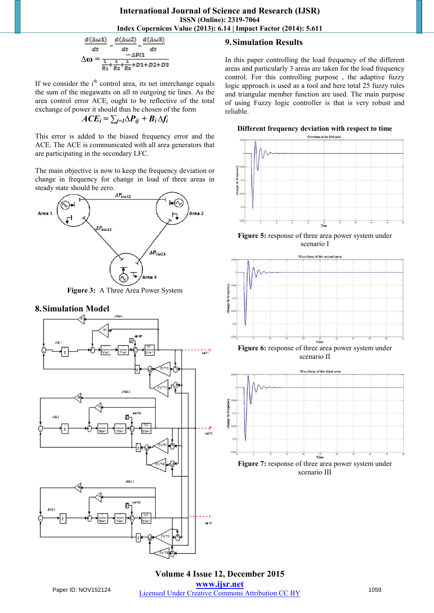$$
\frac{d(\Delta \omega 1)}{dt} = \frac{d(\Delta \omega 2)}{dt} = \frac{d(\Delta \omega 3)}{dt}
$$

$$
\Delta \omega = \frac{-\Delta P l 1}{\frac{1}{R_1} + \frac{1}{R_2} + \frac{1}{R_3} + D l + D 2 + D 3}
$$

If we consider the  $i<sup>th</sup>$  control area, its net interchange equals the sum of the megawatts on all m outgoing tie lines. As the area control error ACE<sub>i</sub> ought to be reflective of the total exchange of power it should thus be chosen of the form

$$
ACE_i = \sum_{j=1} \Delta P_{ij} + B_i \Delta f_i
$$

This error is added to the biased frequency error and the ACE. The ACE is communicated with all area generators that are participating in the secondary LFC.

The main objective is now to keep the frequency deviation or change in frequency for change in load of three areas in steady state should be zero.



**Figure 3:** A Three Area Power System

#### **8.Simulation Model**



# **9.Simulation Results**

In this paper controlling the load frequency of the different areas and particularly 3 areas are taken for the load frequency control. For this controlling purpose , the adaptive fuzzy logic approach is used as a tool and here total 25 fuzzy rules and triangular member function are used. The main purpose of using Fuzzy logic controller is that is very robust and reliable.

#### **Different frequency deviation with respect to time**



**Figure 5:** response of three area power system under scenario I







**Figure 7:** response of three area power system under scenario III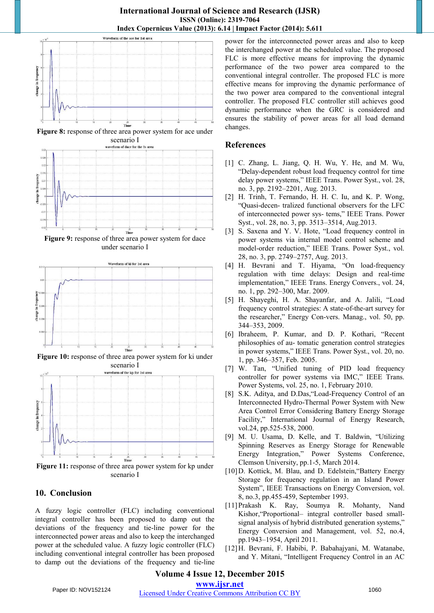

**Figure 8:** response of three area power system for ace under



**Figure 9:** response of three area power system for dace under scenario I



**Figure 10:** response of three area power system for ki under scenario I



Figure 11: response of three area power system for kp under scenario I

# **10. Conclusion**

A fuzzy logic controller (FLC) including conventional integral controller has been proposed to damp out the deviations of the frequency and tie-line power for the interconnected power areas and also to keep the interchanged power at the scheduled value. A fuzzy logic controller (FLC) including conventional integral controller has been proposed to damp out the deviations of the frequency and tie-line power for the interconnected power areas and also to keep the interchanged power at the scheduled value. The proposed FLC is more effective means for improving the dynamic performance of the two power area compared to the conventional integral controller. The proposed FLC is more effective means for improving the dynamic performance of the two power area compared to the conventional integral controller. The proposed FLC controller still achieves good dynamic performance when the GRC is considered and ensures the stability of power areas for all load demand changes.

# **References**

- [1] C. Zhang, L. Jiang, Q. H. Wu, Y. He, and M. Wu, "Delay-dependent robust load frequency control for time delay power systems," IEEE Trans. Power Syst., vol. 28, no. 3, pp. 2192–2201, Aug. 2013.
- [2] H. Trinh, T. Fernando, H. H. C. Iu, and K. P. Wong, "Quasi-decen- tralized functional observers for the LFC of interconnected power sys- tems," IEEE Trans. Power Syst., vol. 28, no. 3, pp. 3513–3514, Aug.2013.
- [3] S. Saxena and Y. V. Hote, "Load frequency control in power systems via internal model control scheme and model-order reduction," IEEE Trans. Power Syst., vol. 28, no. 3, pp. 2749–2757, Aug. 2013.
- [4] H. Bevrani and T. Hiyama, "On load-frequency regulation with time delays: Design and real-time implementation," IEEE Trans. Energy Convers., vol. 24, no. 1, pp. 292–300, Mar. 2009.
- [5] H. Shayeghi, H. A. Shayanfar, and A. Jalili, "Load frequency control strategies: A state-of-the-art survey for the researcher," Energy Con-vers. Manag., vol. 50, pp. 344–353, 2009.
- [6] Ibraheem, P. Kumar, and D. P. Kothari, "Recent philosophies of au- tomatic generation control strategies in power systems," IEEE Trans. Power Syst., vol. 20, no. 1, pp. 346–357, Feb. 2005.
- [7] W. Tan, "Unified tuning of PID load frequency controller for power systems via IMC," IEEE Trans. Power Systems, vol. 25, no. 1, February 2010.
- [8] S.K. Aditya, and D.Das,"Load-Frequency Control of an Interconnected Hydro-Thermal Power System with New Area Control Error Considering Battery Energy Storage Facility," International Journal of Energy Research, vol.24, pp.525-538, 2000.
- [9] M. U. Usama, D. Kelle, and T. Baldwin, "Utilizing Spinning Reserves as Energy Storage for Renewable Energy Integration," Power Systems Conference, Clemson University, pp.1-5, March 2014.
- [10] D. Kottick, M. Blau, and D. Edelstein, "Battery Energy Storage for frequency regulation in an Island Power System", IEEE Transactions on Energy Conversion, vol. 8, no.3, pp.455-459, September 1993.
- [11]Prakash K. Ray, Soumya R. Mohanty, Nand Kishor,"Proportional– integral controller based smallsignal analysis of hybrid distributed generation systems," Energy Conversion and Management, vol. 52, no.4, pp.1943–1954, April 2011.
- [12]H. Bevrani, F. Habibi, P. Babahajyani, M. Watanabe, and Y. Mitani, "Intelligent Frequency Control in an AC

# **Volume 4 Issue 12, December 2015**

**www.ijsr.net**